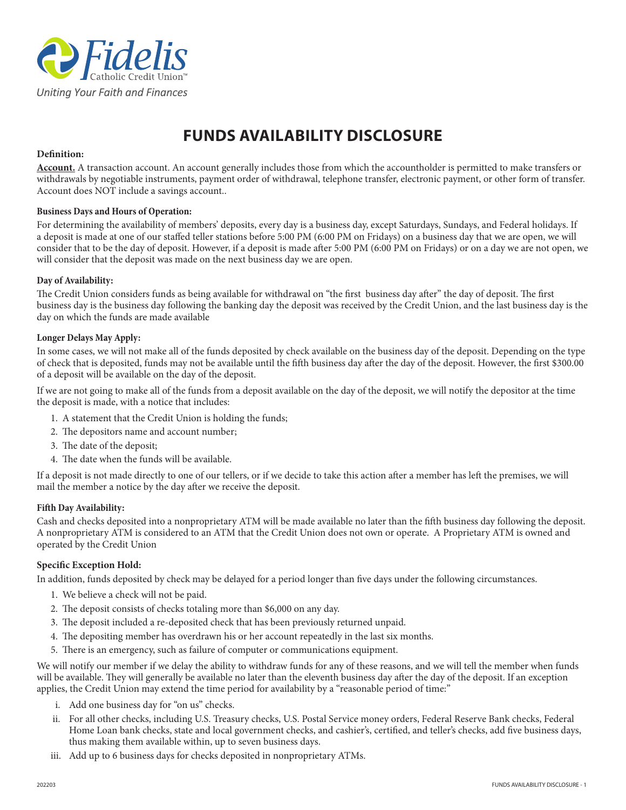

# **FUNDS AVAILABILITY DISCLOSURE**

## **Definition:**

**Account.** A transaction account. An account generally includes those from which the accountholder is permitted to make transfers or withdrawals by negotiable instruments, payment order of withdrawal, telephone transfer, electronic payment, or other form of transfer. Account does NOT include a savings account..

#### **Business Days and Hours of Operation:**

For determining the availability of members' deposits, every day is a business day, except Saturdays, Sundays, and Federal holidays. If a deposit is made at one of our staffed teller stations before 5:00 PM (6:00 PM on Fridays) on a business day that we are open, we will consider that to be the day of deposit. However, if a deposit is made after 5:00 PM (6:00 PM on Fridays) or on a day we are not open, we will consider that the deposit was made on the next business day we are open.

#### **Day of Availability:**

The Credit Union considers funds as being available for withdrawal on "the first business day after" the day of deposit. The first business day is the business day following the banking day the deposit was received by the Credit Union, and the last business day is the day on which the funds are made available

## **Longer Delays May Apply:**

In some cases, we will not make all of the funds deposited by check available on the business day of the deposit. Depending on the type of check that is deposited, funds may not be available until the fifth business day after the day of the deposit. However, the first \$300.00 of a deposit will be available on the day of the deposit.

If we are not going to make all of the funds from a deposit available on the day of the deposit, we will notify the depositor at the time the deposit is made, with a notice that includes:

- 1. A statement that the Credit Union is holding the funds;
- 2. The depositors name and account number;
- 3. The date of the deposit;
- 4. The date when the funds will be available.

If a deposit is not made directly to one of our tellers, or if we decide to take this action after a member has left the premises, we will mail the member a notice by the day after we receive the deposit.

#### **Fifth Day Availability:**

Cash and checks deposited into a nonproprietary ATM will be made available no later than the fifth business day following the deposit. A nonproprietary ATM is considered to an ATM that the Credit Union does not own or operate. A Proprietary ATM is owned and operated by the Credit Union

#### **Specific Exception Hold:**

In addition, funds deposited by check may be delayed for a period longer than five days under the following circumstances.

- 1. We believe a check will not be paid.
- 2. The deposit consists of checks totaling more than \$6,000 on any day.
- 3. The deposit included a re-deposited check that has been previously returned unpaid.
- 4. The depositing member has overdrawn his or her account repeatedly in the last six months.
- 5. There is an emergency, such as failure of computer or communications equipment.

We will notify our member if we delay the ability to withdraw funds for any of these reasons, and we will tell the member when funds will be available. They will generally be available no later than the eleventh business day after the day of the deposit. If an exception applies, the Credit Union may extend the time period for availability by a "reasonable period of time:"

- i. Add one business day for "on us" checks.
- ii. For all other checks, including U.S. Treasury checks, U.S. Postal Service money orders, Federal Reserve Bank checks, Federal Home Loan bank checks, state and local government checks, and cashier's, certified, and teller's checks, add five business days, thus making them available within, up to seven business days.
- iii. Add up to 6 business days for checks deposited in nonproprietary ATMs.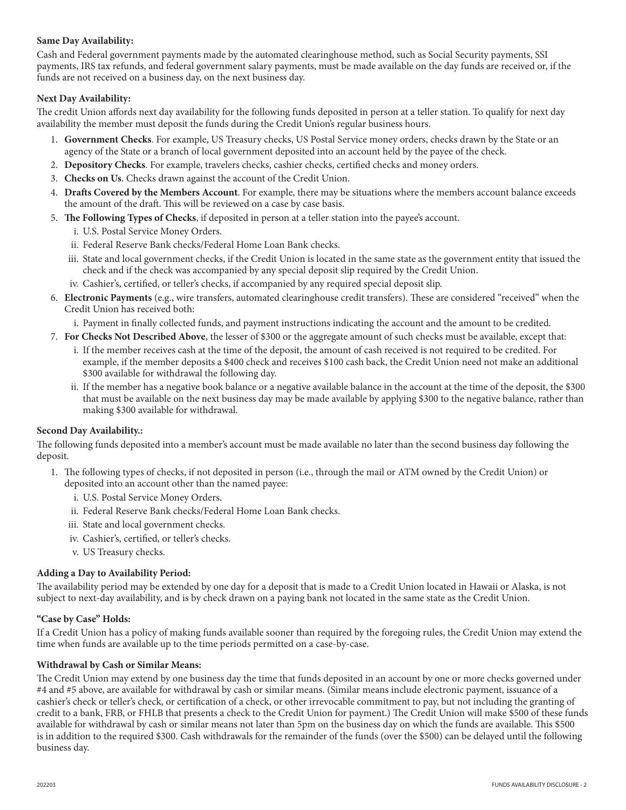## **Same Day Availability:**

Cash and Federal government payments made by the automated clearinghouse method, such as Social Security payments, SSI payments, IRS tax refunds, and federal government salary payments, must be made available on the day funds are received or, if the funds are not received on a business day, on the next business day.

# **Next Day Availability:**

The credit Union affords next day availability for the following funds deposited in person at a teller station. To qualify for next day availability the member must deposit the funds during the Credit Union's regular business hours.

- 1. **Government Checks**. For example, US Treasury checks, US Postal Service money orders, checks drawn by the State or an agency of the State or a branch of local government deposited into an account held by the payee of the check.
- 2. **Depository Checks**. For example, travelers checks, cashier checks, certified checks and money orders.
- 3. **Checks on Us**. Checks drawn against the account of the Credit Union.
- 4. **Drafts Covered by the Members Account**. For example, there may be situations where the members account balance exceeds the amount of the draft. This will be reviewed on a case by case basis.
- 5. **The Following Types of Checks**, if deposited in person at a teller station into the payee's account.
	- i. U.S. Postal Service Money Orders.
	- ii. Federal Reserve Bank checks/Federal Home Loan Bank checks.
	- iii. State and local government checks, if the Credit Union is located in the same state as the government entity that issued the check and if the check was accompanied by any special deposit slip required by the Credit Union.
	- iv. Cashier's, certified, or teller's checks, if accompanied by any required special deposit slip.
- 6. **Electronic Payments** (e.g., wire transfers, automated clearinghouse credit transfers). These are considered "received" when the Credit Union has received both:
	- i. Payment in finally collected funds, and payment instructions indicating the account and the amount to be credited.
- 7. **For Checks Not Described Above**, the lesser of \$300 or the aggregate amount of such checks must be available, except that:
	- i. If the member receives cash at the time of the deposit, the amount of cash received is not required to be credited. For example, if the member deposits a \$400 check and receives \$100 cash back, the Credit Union need not make an additional \$300 available for withdrawal the following day.
	- ii. If the member has a negative book balance or a negative available balance in the account at the time of the deposit, the \$300 that must be available on the next business day may be made available by applying \$300 to the negative balance, rather than making \$300 available for withdrawal.

## **Second Day Availability.:**

The following funds deposited into a member's account must be made available no later than the second business day following the deposit.

- 1. The following types of checks, if not deposited in person (i.e., through the mail or ATM owned by the Credit Union) or deposited into an account other than the named payee:
	- i. U.S. Postal Service Money Orders.
	- ii. Federal Reserve Bank checks/Federal Home Loan Bank checks.
	- iii. State and local government checks.
	- iv. Cashier's, certified, or teller's checks.
	- v. US Treasury checks.

## **Adding a Day to Availability Period:**

The availability period may be extended by one day for a deposit that is made to a Credit Union located in Hawaii or Alaska, is not subject to next-day availability, and is by check drawn on a paying bank not located in the same state as the Credit Union.

## **"Case by Case" Holds:**

If a Credit Union has a policy of making funds available sooner than required by the foregoing rules, the Credit Union may extend the time when funds are available up to the time periods permitted on a case-by-case.

## **Withdrawal by Cash or Similar Means:**

The Credit Union may extend by one business day the time that funds deposited in an account by one or more checks governed under #4 and #5 above, are available for withdrawal by cash or similar means. (Similar means include electronic payment, issuance of a cashier's check or teller's check, or certification of a check, or other irrevocable commitment to pay, but not including the granting of credit to a bank, FRB, or FHLB that presents a check to the Credit Union for payment.) The Credit Union will make \$500 of these funds available for withdrawal by cash or similar means not later than 5pm on the business day on which the funds are available. This \$500 is in addition to the required \$300. Cash withdrawals for the remainder of the funds (over the \$500) can be delayed until the following business day.